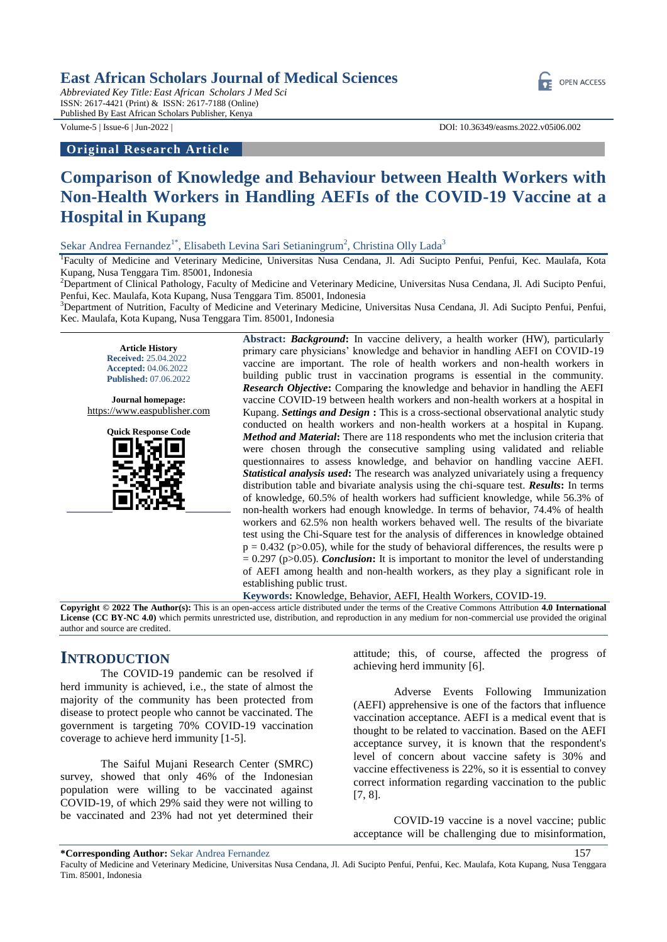### **East African Scholars Journal of Medical Sciences**

*Abbreviated Key Title:East African Scholars J Med Sci* ISSN: 2617-4421 (Print) & ISSN: 2617-7188 (Online) Published By East African Scholars Publisher, Kenya

#### **Original Research Article**

Volume-5 | Issue-6 | Jun-2022 | DOI: 10.36349/easms.2022.v05i06.002

# **Comparison of Knowledge and Behaviour between Health Workers with Non-Health Workers in Handling AEFIs of the COVID-19 Vaccine at a Hospital in Kupang**

Sekar Andrea Fernandez<sup>1\*</sup>, Elisabeth Levina Sari Setianingrum<sup>2</sup>, Christina Olly Lada<sup>3</sup>

<sup>1</sup>Faculty of Medicine and Veterinary Medicine, Universitas Nusa Cendana, Jl. Adi Sucipto Penfui, Penfui, Kec. Maulafa, Kota Kupang, Nusa Tenggara Tim. 85001, Indonesia

<sup>2</sup>Department of Clinical Pathology, Faculty of Medicine and Veterinary Medicine, Universitas Nusa Cendana, Jl. Adi Sucipto Penfui, Penfui, Kec. Maulafa, Kota Kupang, Nusa Tenggara Tim. 85001, Indonesia

<sup>3</sup>Department of Nutrition, Faculty of Medicine and Veterinary Medicine, Universitas Nusa Cendana, Jl. Adi Sucipto Penfui, Penfui, Kec. Maulafa, Kota Kupang, Nusa Tenggara Tim. 85001, Indonesia

**Article History Received:** 25.04.2022 **Accepted:** 04.06.2022 **Published:** 07.06.2022

**Journal homepage:** [https://www.easpublisher.com](https://www.easpublisher.com/)



**Abstract:** *Background***:** In vaccine delivery, a health worker (HW), particularly primary care physicians' knowledge and behavior in handling AEFI on COVID-19 vaccine are important. The role of health workers and non-health workers in building public trust in vaccination programs is essential in the community. *Research Objective***:** Comparing the knowledge and behavior in handling the AEFI vaccine COVID-19 between health workers and non-health workers at a hospital in Kupang. *Settings and Design* **:** This is a cross-sectional observational analytic study conducted on health workers and non-health workers at a hospital in Kupang. *Method and Material***:** There are 118 respondents who met the inclusion criteria that were chosen through the consecutive sampling using validated and reliable questionnaires to assess knowledge, and behavior on handling vaccine AEFI. *Statistical analysis used***:** The research was analyzed univariately using a frequency distribution table and bivariate analysis using the chi-square test. *Results***:** In terms of knowledge, 60.5% of health workers had sufficient knowledge, while 56.3% of non-health workers had enough knowledge. In terms of behavior, 74.4% of health workers and 62.5% non health workers behaved well. The results of the bivariate test using the Chi-Square test for the analysis of differences in knowledge obtained  $p = 0.432$  (p $> 0.05$ ), while for the study of behavioral differences, the results were p  $= 0.297$  (p $> 0.05$ ). *Conclusion*: It is important to monitor the level of understanding of AEFI among health and non-health workers, as they play a significant role in establishing public trust.

**Keywords:** Knowledge, Behavior, AEFI, Health Workers, COVID-19.

**Copyright © 2022 The Author(s):** This is an open-access article distributed under the terms of the Creative Commons Attribution **4.0 International License (CC BY-NC 4.0)** which permits unrestricted use, distribution, and reproduction in any medium for non-commercial use provided the original author and source are credited.

## **INTRODUCTION**

The COVID-19 pandemic can be resolved if herd immunity is achieved, i.e., the state of almost the majority of the community has been protected from disease to protect people who cannot be vaccinated. The government is targeting 70% COVID-19 vaccination coverage to achieve herd immunity [1-5].

The Saiful Mujani Research Center (SMRC) survey, showed that only 46% of the Indonesian population were willing to be vaccinated against COVID-19, of which 29% said they were not willing to be vaccinated and 23% had not yet determined their attitude; this, of course, affected the progress of achieving herd immunity [6].

Adverse Events Following Immunization (AEFI) apprehensive is one of the factors that influence vaccination acceptance. AEFI is a medical event that is thought to be related to vaccination. Based on the AEFI acceptance survey, it is known that the respondent's level of concern about vaccine safety is 30% and vaccine effectiveness is 22%, so it is essential to convey correct information regarding vaccination to the public [7, 8].

COVID-19 vaccine is a novel vaccine; public acceptance will be challenging due to misinformation,



**<sup>\*</sup>Corresponding Author:** Sekar Andrea Fernandez 157

Faculty of Medicine and Veterinary Medicine, Universitas Nusa Cendana, Jl. Adi Sucipto Penfui, Penfui, Kec. Maulafa, Kota Kupang, Nusa Tenggara Tim. 85001, Indonesia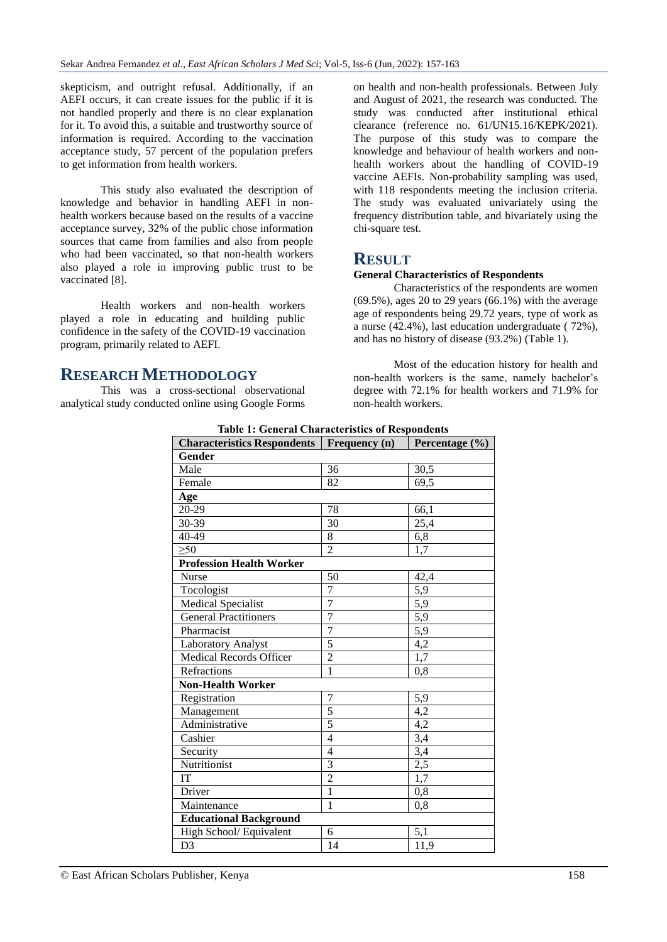skepticism, and outright refusal. Additionally, if an AEFI occurs, it can create issues for the public if it is not handled properly and there is no clear explanation for it. To avoid this, a suitable and trustworthy source of information is required. According to the vaccination acceptance study, 57 percent of the population prefers to get information from health workers.

This study also evaluated the description of knowledge and behavior in handling AEFI in nonhealth workers because based on the results of a vaccine acceptance survey, 32% of the public chose information sources that came from families and also from people who had been vaccinated, so that non-health workers also played a role in improving public trust to be vaccinated [8].

Health workers and non-health workers played a role in educating and building public confidence in the safety of the COVID-19 vaccination program, primarily related to AEFI.

**RESEARCH METHODOLOGY**

This was a cross-sectional observational analytical study conducted online using Google Forms on health and non-health professionals. Between July and August of 2021, the research was conducted. The study was conducted after institutional ethical clearance (reference no. 61/UN15.16/KEPK/2021). The purpose of this study was to compare the knowledge and behaviour of health workers and nonhealth workers about the handling of COVID-19 vaccine AEFIs. Non-probability sampling was used, with 118 respondents meeting the inclusion criteria. The study was evaluated univariately using the frequency distribution table, and bivariately using the chi-square test.

# **RESULT**

#### **General Characteristics of Respondents**

Characteristics of the respondents are women  $(69.5\%)$ , ages 20 to 29 years  $(66.1\%)$  with the average age of respondents being 29.72 years, type of work as a nurse (42.4%), last education undergraduate ( 72%), and has no history of disease (93.2%) (Table 1).

Most of the education history for health and non-health workers is the same, namely bachelor's degree with 72.1% for health workers and 71.9% for non-health workers.

| <b>Gender</b><br>36<br>Male<br>30,5<br>82<br>69,5<br>Female<br>Age<br>20-29<br>78<br>66,1<br>$\overline{30}$<br>30-39<br>25,4<br>$40 - 49$<br>$6,\overline{8}$<br>8<br>$\geq 50$<br>$\overline{2}$<br>$1,\bar{7}$<br><b>Profession Health Worker</b><br>50<br><b>Nurse</b><br>42,4<br>5,9<br>Tocologist<br>7<br>$\overline{7}$<br>Medical Specialist<br>$\overline{5,9}$<br>$\overline{7}$<br>5,9<br><b>General Practitioners</b><br>$\overline{7}$<br>5,9<br>Pharmacist<br>$\overline{5}$<br>4,2<br><b>Laboratory Analyst</b><br>$\overline{2}$<br><b>Medical Records Officer</b><br>1,7<br>Refractions<br>$\mathbf{1}$<br>0,8<br><b>Non-Health Worker</b><br>Registration<br>$\boldsymbol{7}$<br>5,9<br>$\overline{5}$<br>4,2<br>Management<br>$\overline{5}$<br>Administrative<br>4,2<br>3,4<br>Cashier<br>$\overline{4}$<br>3,4<br>$\overline{4}$<br>Security | <b>Characteristics Respondents</b> | Frequency (n)  | Percentage (%)   |  |
|-------------------------------------------------------------------------------------------------------------------------------------------------------------------------------------------------------------------------------------------------------------------------------------------------------------------------------------------------------------------------------------------------------------------------------------------------------------------------------------------------------------------------------------------------------------------------------------------------------------------------------------------------------------------------------------------------------------------------------------------------------------------------------------------------------------------------------------------------------------------|------------------------------------|----------------|------------------|--|
|                                                                                                                                                                                                                                                                                                                                                                                                                                                                                                                                                                                                                                                                                                                                                                                                                                                                   |                                    |                |                  |  |
|                                                                                                                                                                                                                                                                                                                                                                                                                                                                                                                                                                                                                                                                                                                                                                                                                                                                   |                                    |                |                  |  |
|                                                                                                                                                                                                                                                                                                                                                                                                                                                                                                                                                                                                                                                                                                                                                                                                                                                                   |                                    |                |                  |  |
|                                                                                                                                                                                                                                                                                                                                                                                                                                                                                                                                                                                                                                                                                                                                                                                                                                                                   |                                    |                |                  |  |
|                                                                                                                                                                                                                                                                                                                                                                                                                                                                                                                                                                                                                                                                                                                                                                                                                                                                   |                                    |                |                  |  |
|                                                                                                                                                                                                                                                                                                                                                                                                                                                                                                                                                                                                                                                                                                                                                                                                                                                                   |                                    |                |                  |  |
|                                                                                                                                                                                                                                                                                                                                                                                                                                                                                                                                                                                                                                                                                                                                                                                                                                                                   |                                    |                |                  |  |
|                                                                                                                                                                                                                                                                                                                                                                                                                                                                                                                                                                                                                                                                                                                                                                                                                                                                   |                                    |                |                  |  |
|                                                                                                                                                                                                                                                                                                                                                                                                                                                                                                                                                                                                                                                                                                                                                                                                                                                                   |                                    |                |                  |  |
|                                                                                                                                                                                                                                                                                                                                                                                                                                                                                                                                                                                                                                                                                                                                                                                                                                                                   |                                    |                |                  |  |
|                                                                                                                                                                                                                                                                                                                                                                                                                                                                                                                                                                                                                                                                                                                                                                                                                                                                   |                                    |                |                  |  |
|                                                                                                                                                                                                                                                                                                                                                                                                                                                                                                                                                                                                                                                                                                                                                                                                                                                                   |                                    |                |                  |  |
|                                                                                                                                                                                                                                                                                                                                                                                                                                                                                                                                                                                                                                                                                                                                                                                                                                                                   |                                    |                |                  |  |
|                                                                                                                                                                                                                                                                                                                                                                                                                                                                                                                                                                                                                                                                                                                                                                                                                                                                   |                                    |                |                  |  |
|                                                                                                                                                                                                                                                                                                                                                                                                                                                                                                                                                                                                                                                                                                                                                                                                                                                                   |                                    |                |                  |  |
|                                                                                                                                                                                                                                                                                                                                                                                                                                                                                                                                                                                                                                                                                                                                                                                                                                                                   |                                    |                |                  |  |
|                                                                                                                                                                                                                                                                                                                                                                                                                                                                                                                                                                                                                                                                                                                                                                                                                                                                   |                                    |                |                  |  |
|                                                                                                                                                                                                                                                                                                                                                                                                                                                                                                                                                                                                                                                                                                                                                                                                                                                                   |                                    |                |                  |  |
|                                                                                                                                                                                                                                                                                                                                                                                                                                                                                                                                                                                                                                                                                                                                                                                                                                                                   |                                    |                |                  |  |
|                                                                                                                                                                                                                                                                                                                                                                                                                                                                                                                                                                                                                                                                                                                                                                                                                                                                   |                                    |                |                  |  |
|                                                                                                                                                                                                                                                                                                                                                                                                                                                                                                                                                                                                                                                                                                                                                                                                                                                                   |                                    |                |                  |  |
|                                                                                                                                                                                                                                                                                                                                                                                                                                                                                                                                                                                                                                                                                                                                                                                                                                                                   |                                    |                |                  |  |
|                                                                                                                                                                                                                                                                                                                                                                                                                                                                                                                                                                                                                                                                                                                                                                                                                                                                   |                                    |                |                  |  |
|                                                                                                                                                                                                                                                                                                                                                                                                                                                                                                                                                                                                                                                                                                                                                                                                                                                                   | Nutritionist                       | $\overline{3}$ | $\overline{2,5}$ |  |
| $\overline{2}$<br>IT<br>1,7                                                                                                                                                                                                                                                                                                                                                                                                                                                                                                                                                                                                                                                                                                                                                                                                                                       |                                    |                |                  |  |
| $\overline{1}$<br>Driver<br>0,8                                                                                                                                                                                                                                                                                                                                                                                                                                                                                                                                                                                                                                                                                                                                                                                                                                   |                                    |                |                  |  |
| $\mathbf{1}$<br>Maintenance<br>0,8                                                                                                                                                                                                                                                                                                                                                                                                                                                                                                                                                                                                                                                                                                                                                                                                                                |                                    |                |                  |  |
| <b>Educational Background</b>                                                                                                                                                                                                                                                                                                                                                                                                                                                                                                                                                                                                                                                                                                                                                                                                                                     |                                    |                |                  |  |
| High School/ Equivalent<br>5,1<br>6                                                                                                                                                                                                                                                                                                                                                                                                                                                                                                                                                                                                                                                                                                                                                                                                                               |                                    |                |                  |  |
| 14<br>D <sub>3</sub><br>11,9                                                                                                                                                                                                                                                                                                                                                                                                                                                                                                                                                                                                                                                                                                                                                                                                                                      |                                    |                |                  |  |

**Table 1: General Characteristics of Respondents**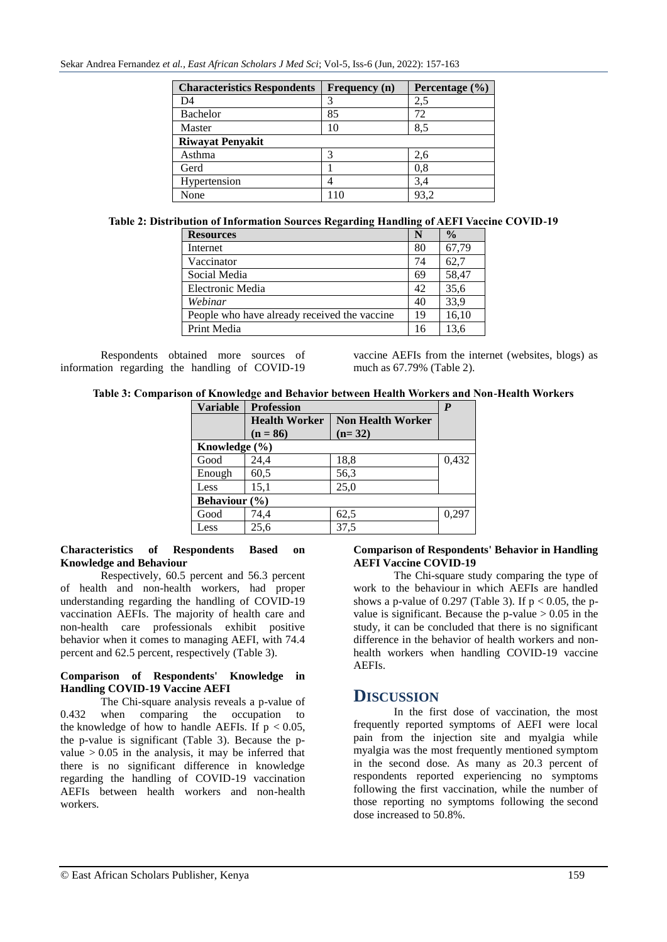| <b>Characteristics Respondents</b> | Frequency (n) | Percentage $(\% )$ |
|------------------------------------|---------------|--------------------|
| D4                                 |               | 2,5                |
| Bachelor                           | 85            | 72                 |
| Master                             | 10            | 8.5                |
| <b>Riwayat Penyakit</b>            |               |                    |
| Asthma                             |               | 2,6                |
| Gerd                               |               | 0,8                |
| Hypertension                       |               | 3,4                |
| None                               | 110           |                    |

#### **Table 2: Distribution of Information Sources Regarding Handling of AEFI Vaccine COVID-19**

| <b>Resources</b>                             | N  | $\frac{0}{0}$ |
|----------------------------------------------|----|---------------|
| Internet                                     | 80 | 67,79         |
| Vaccinator                                   | 74 | 62,7          |
| Social Media                                 | 69 | 58,47         |
| Electronic Media                             | 42 | 35,6          |
| Webinar                                      | 40 | 33,9          |
| People who have already received the vaccine | 19 | 16,10         |
| Print Media                                  | 16 | 13.6          |

Respondents obtained more sources of information regarding the handling of COVID-19

vaccine AEFIs from the internet (websites, blogs) as much as 67.79% (Table 2).

#### **Table 3: Comparison of Knowledge and Behavior between Health Workers and Non-Health Workers**

| <b>Variable</b>   | <b>Profession</b>    |                          | $\boldsymbol{P}$ |  |
|-------------------|----------------------|--------------------------|------------------|--|
|                   | <b>Health Worker</b> | <b>Non Health Worker</b> |                  |  |
|                   | $(n = 86)$           | $(n=32)$                 |                  |  |
| Knowledge $(\% )$ |                      |                          |                  |  |
| Good              | 24,4                 | 18,8                     | 0,432            |  |
| Enough            | 60,5                 | 56,3                     |                  |  |
| Less              | 15,1                 | 25,0                     |                  |  |
| Behaviour $(\% )$ |                      |                          |                  |  |
| Good              | 74,4                 | 62,5                     | 0.297            |  |
| Less              | 25.6                 | 37,5                     |                  |  |

#### **Characteristics of Respondents Based on Knowledge and Behaviour**

Respectively, 60.5 percent and 56.3 percent of health and non-health workers, had proper understanding regarding the handling of COVID-19 vaccination AEFIs. The majority of health care and non-health care professionals exhibit positive behavior when it comes to managing AEFI, with 74.4 percent and 62.5 percent, respectively (Table 3).

#### **Comparison of Respondents' Knowledge in Handling COVID-19 Vaccine AEFI**

The Chi-square analysis reveals a p-value of 0.432 when comparing the occupation to the knowledge of how to handle AEFIs. If  $p < 0.05$ , the p-value is significant (Table 3). Because the pvalue  $> 0.05$  in the analysis, it may be inferred that there is no significant difference in knowledge regarding the handling of COVID-19 vaccination AEFIs between health workers and non-health workers.

#### **Comparison of Respondents' Behavior in Handling AEFI Vaccine COVID-19**

The Chi-square study comparing the type of work to the behaviour in which AEFIs are handled shows a p-value of 0.297 (Table 3). If  $p < 0.05$ , the pvalue is significant. Because the  $p$ -value  $> 0.05$  in the study, it can be concluded that there is no significant difference in the behavior of health workers and nonhealth workers when handling COVID-19 vaccine AEFIs.

# **DISCUSSION**

In the first dose of vaccination, the most frequently reported symptoms of AEFI were local pain from the injection site and myalgia while myalgia was the most frequently mentioned symptom in the second dose. As many as 20.3 percent of respondents reported experiencing no symptoms following the first vaccination, while the number of those reporting no symptoms following the second dose increased to 50.8%.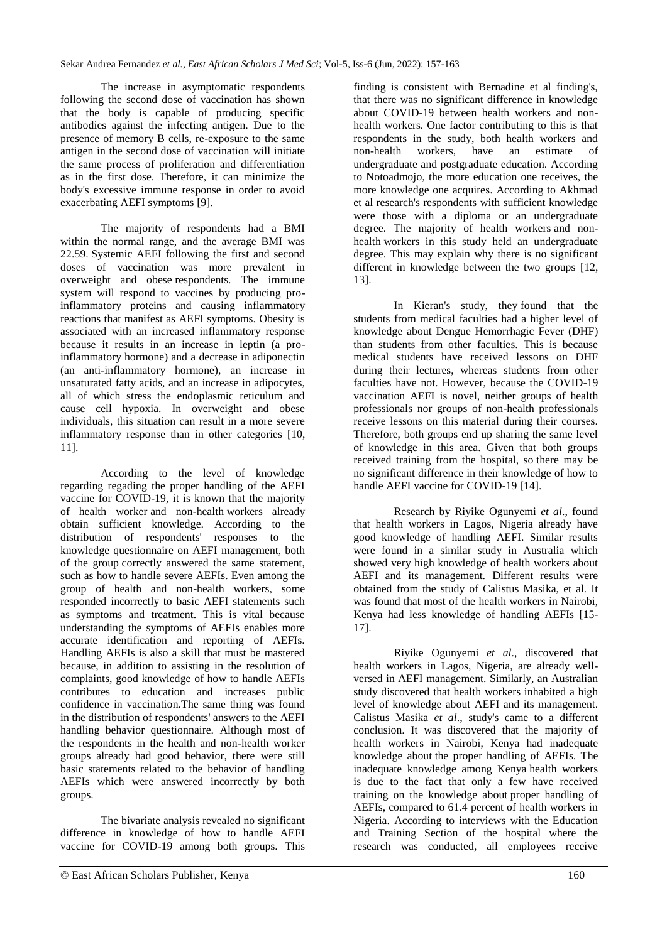The increase in asymptomatic respondents following the second dose of vaccination has shown that the body is capable of producing specific antibodies against the infecting antigen. Due to the presence of memory B cells, re-exposure to the same antigen in the second dose of vaccination will initiate the same process of proliferation and differentiation as in the first dose. Therefore, it can minimize the body's excessive immune response in order to avoid exacerbating AEFI symptoms [9].

The majority of respondents had a BMI within the normal range, and the average BMI was 22.59. Systemic AEFI following the first and second doses of vaccination was more prevalent in overweight and obese respondents. The immune system will respond to vaccines by producing proinflammatory proteins and causing inflammatory reactions that manifest as AEFI symptoms. Obesity is associated with an increased inflammatory response because it results in an increase in leptin (a proinflammatory hormone) and a decrease in adiponectin (an anti-inflammatory hormone), an increase in unsaturated fatty acids, and an increase in adipocytes, all of which stress the endoplasmic reticulum and cause cell hypoxia. In overweight and obese individuals, this situation can result in a more severe inflammatory response than in other categories [10, 11].

According to the level of knowledge regarding regading the proper handling of the AEFI vaccine for COVID-19, it is known that the majority of health worker and non-health workers already obtain sufficient knowledge. According to the distribution of respondents' responses to the knowledge questionnaire on AEFI management, both of the group correctly answered the same statement, such as how to handle severe AEFIs. Even among the group of health and non-health workers, some responded incorrectly to basic AEFI statements such as symptoms and treatment. This is vital because understanding the symptoms of AEFIs enables more accurate identification and reporting of AEFIs. Handling AEFIs is also a skill that must be mastered because, in addition to assisting in the resolution of complaints, good knowledge of how to handle AEFIs contributes to education and increases public confidence in vaccination.The same thing was found in the distribution of respondents' answers to the AEFI handling behavior questionnaire. Although most of the respondents in the health and non-health worker groups already had good behavior, there were still basic statements related to the behavior of handling AEFIs which were answered incorrectly by both groups.

The bivariate analysis revealed no significant difference in knowledge of how to handle AEFI vaccine for COVID-19 among both groups. This finding is consistent with Bernadine et al finding's, that there was no significant difference in knowledge about COVID-19 between health workers and nonhealth workers. One factor contributing to this is that respondents in the study, both health workers and non-health workers, have an estimate of undergraduate and postgraduate education. According to Notoadmojo, the more education one receives, the more knowledge one acquires. According to Akhmad et al research's respondents with sufficient knowledge were those with a diploma or an undergraduate degree. The majority of health workers and nonhealth workers in this study held an undergraduate degree. This may explain why there is no significant different in knowledge between the two groups [12, 13].

In Kieran's study, they found that the students from medical faculties had a higher level of knowledge about Dengue Hemorrhagic Fever (DHF) than students from other faculties. This is because medical students have received lessons on DHF during their lectures, whereas students from other faculties have not. However, because the COVID-19 vaccination AEFI is novel, neither groups of health professionals nor groups of non-health professionals receive lessons on this material during their courses. Therefore, both groups end up sharing the same level of knowledge in this area. Given that both groups received training from the hospital, so there may be no significant difference in their knowledge of how to handle AEFI vaccine for COVID-19 [14].

Research by Riyike Ogunyemi *et al*., found that health workers in Lagos, Nigeria already have good knowledge of handling AEFI. Similar results were found in a similar study in Australia which showed very high knowledge of health workers about AEFI and its management. Different results were obtained from the study of Calistus Masika, et al. It was found that most of the health workers in Nairobi, Kenya had less knowledge of handling AEFIs [15- 17].

Riyike Ogunyemi *et al*., discovered that health workers in Lagos, Nigeria, are already wellversed in AEFI management. Similarly, an Australian study discovered that health workers inhabited a high level of knowledge about AEFI and its management. Calistus Masika *et al*., study's came to a different conclusion. It was discovered that the majority of health workers in Nairobi, Kenya had inadequate knowledge about the proper handling of AEFIs. The inadequate knowledge among Kenya health workers is due to the fact that only a few have received training on the knowledge about proper handling of AEFIs, compared to 61.4 percent of health workers in Nigeria. According to interviews with the Education and Training Section of the hospital where the research was conducted, all employees receive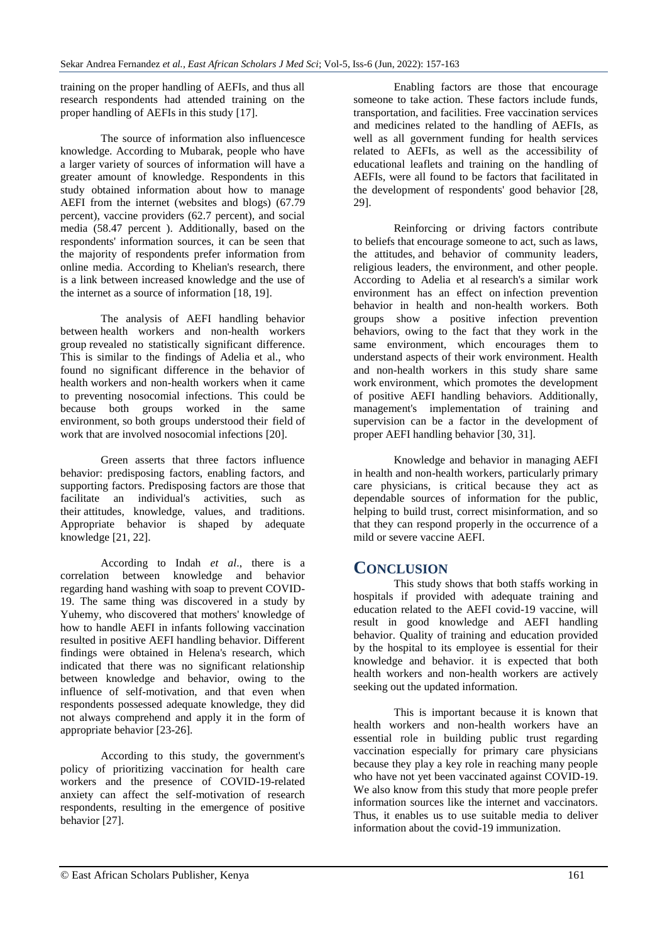training on the proper handling of AEFIs, and thus all research respondents had attended training on the proper handling of AEFIs in this study [17].

The source of information also influencesce knowledge. According to Mubarak, people who have a larger variety of sources of information will have a greater amount of knowledge. Respondents in this study obtained information about how to manage AEFI from the internet (websites and blogs) (67.79 percent), vaccine providers (62.7 percent), and social media (58.47 percent ). Additionally, based on the respondents' information sources, it can be seen that the majority of respondents prefer information from online media. According to Khelian's research, there is a link between increased knowledge and the use of the internet as a source of information [18, 19].

The analysis of AEFI handling behavior between health workers and non-health workers group revealed no statistically significant difference. This is similar to the findings of Adelia et al., who found no significant difference in the behavior of health workers and non-health workers when it came to preventing nosocomial infections. This could be because both groups worked in the same environment, so both groups understood their field of work that are involved nosocomial infections [20].

Green asserts that three factors influence behavior: predisposing factors, enabling factors, and supporting factors. Predisposing factors are those that facilitate an individual's activities, such as their attitudes, knowledge, values, and traditions. Appropriate behavior is shaped by adequate knowledge [21, 22].

According to Indah *et al*., there is a correlation between knowledge and behavior regarding hand washing with soap to prevent COVID-19. The same thing was discovered in a study by Yuhemy, who discovered that mothers' knowledge of how to handle AEFI in infants following vaccination resulted in positive AEFI handling behavior. Different findings were obtained in Helena's research, which indicated that there was no significant relationship between knowledge and behavior, owing to the influence of self-motivation, and that even when respondents possessed adequate knowledge, they did not always comprehend and apply it in the form of appropriate behavior [23-26].

According to this study, the government's policy of prioritizing vaccination for health care workers and the presence of COVID-19-related anxiety can affect the self-motivation of research respondents, resulting in the emergence of positive behavior [27].

Enabling factors are those that encourage someone to take action. These factors include funds, transportation, and facilities. Free vaccination services and medicines related to the handling of AEFIs, as well as all government funding for health services related to AEFIs, as well as the accessibility of educational leaflets and training on the handling of AEFIs, were all found to be factors that facilitated in the development of respondents' good behavior [28, 29].

Reinforcing or driving factors contribute to beliefs that encourage someone to act, such as laws, the attitudes, and behavior of community leaders, religious leaders, the environment, and other people. According to Adelia et al research's a similar work environment has an effect on infection prevention behavior in health and non-health workers. Both groups show a positive infection prevention behaviors, owing to the fact that they work in the same environment, which encourages them to understand aspects of their work environment. Health and non-health workers in this study share same work environment, which promotes the development of positive AEFI handling behaviors. Additionally, management's implementation of training and supervision can be a factor in the development of proper AEFI handling behavior [30, 31].

Knowledge and behavior in managing AEFI in health and non-health workers, particularly primary care physicians, is critical because they act as dependable sources of information for the public, helping to build trust, correct misinformation, and so that they can respond properly in the occurrence of a mild or severe vaccine AEFI.

# **CONCLUSION**

This study shows that both staffs working in hospitals if provided with adequate training and education related to the AEFI covid-19 vaccine, will result in good knowledge and AEFI handling behavior. Quality of training and education provided by the hospital to its employee is essential for their knowledge and behavior. it is expected that both health workers and non-health workers are actively seeking out the updated information.

This is important because it is known that health workers and non-health workers have an essential role in building public trust regarding vaccination especially for primary care physicians because they play a key role in reaching many people who have not yet been vaccinated against COVID-19. We also know from this study that more people prefer information sources like the internet and vaccinators. Thus, it enables us to use suitable media to deliver information about the covid-19 immunization.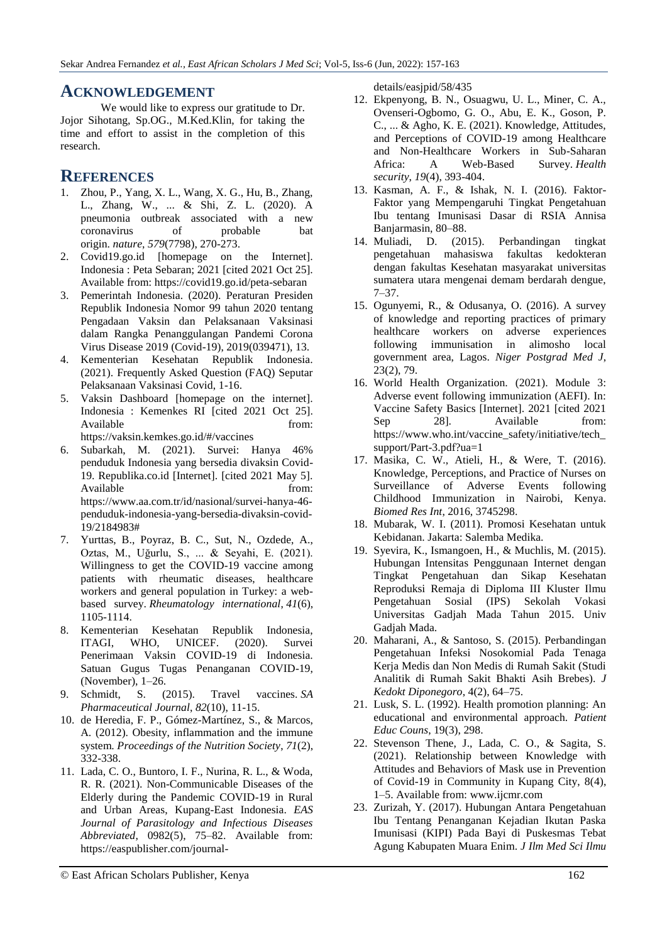### **ACKNOWLEDGEMENT**

We would like to express our gratitude to Dr. Jojor Sihotang, Sp.OG., M.Ked.Klin, for taking the time and effort to assist in the completion of this research.

## **REFERENCES**

- 1. Zhou, P., Yang, X. L., Wang, X. G., Hu, B., Zhang, L., Zhang, W., ... & Shi, Z. L. (2020). A pneumonia outbreak associated with a new coronavirus of probable bat origin. *nature*, *579*(7798), 270-273.
- 2. Covid19.go.id [homepage on the Internet]. Indonesia : Peta Sebaran; 2021 [cited 2021 Oct 25]. Available from: https://covid19.go.id/peta-sebaran
- 3. Pemerintah Indonesia. (2020). Peraturan Presiden Republik Indonesia Nomor 99 tahun 2020 tentang Pengadaan Vaksin dan Pelaksanaan Vaksinasi dalam Rangka Penanggulangan Pandemi Corona Virus Disease 2019 (Covid-19), 2019(039471), 13.
- 4. Kementerian Kesehatan Republik Indonesia. (2021). Frequently Asked Question (FAQ) Seputar Pelaksanaan Vaksinasi Covid, 1-16.
- 5. Vaksin Dashboard [homepage on the internet]. Indonesia : Kemenkes RI [cited 2021 Oct 25]. Available from: https://vaksin.kemkes.go.id/#/vaccines
- 6. Subarkah, M. (2021). Survei: Hanya 46% penduduk Indonesia yang bersedia divaksin Covid-19. Republika.co.id [Internet]. [cited 2021 May 5]. Available from: from: https://www.aa.com.tr/id/nasional/survei-hanya-46 penduduk-indonesia-yang-bersedia-divaksin-covid-19/2184983#
- 7. Yurttas, B., Poyraz, B. C., Sut, N., Ozdede, A., Oztas, M., Uğurlu, S., ... & Seyahi, E. (2021). Willingness to get the COVID-19 vaccine among patients with rheumatic diseases, healthcare workers and general population in Turkey: a webbased survey. *Rheumatology international*, *41*(6), 1105-1114.
- 8. Kementerian Kesehatan Republik Indonesia, ITAGI, WHO, UNICEF. (2020). Survei Penerimaan Vaksin COVID-19 di Indonesia. Satuan Gugus Tugas Penanganan COVID-19, (November), 1–26.
- 9. Schmidt, S. (2015). Travel vaccines. *SA Pharmaceutical Journal*, *82*(10), 11-15.
- 10. de Heredia, F. P., Gómez-Martínez, S., & Marcos, A. (2012). Obesity, inflammation and the immune system. *Proceedings of the Nutrition Society*, *71*(2), 332-338.
- 11. Lada, C. O., Buntoro, I. F., Nurina, R. L., & Woda, R. R. (2021). Non-Communicable Diseases of the Elderly during the Pandemic COVID-19 in Rural and Urban Areas, Kupang-East Indonesia. *EAS Journal of Parasitology and Infectious Diseases Abbreviated*, 0982(5), 75–82. Available from: https://easpublisher.com/journal-

details/easjpid/58/435

- 12. Ekpenyong, B. N., Osuagwu, U. L., Miner, C. A., Ovenseri-Ogbomo, G. O., Abu, E. K., Goson, P. C., ... & Agho, K. E. (2021). Knowledge, Attitudes, and Perceptions of COVID-19 among Healthcare and Non-Healthcare Workers in Sub-Saharan Africa: A Web-Based Survey. *Health security*, *19*(4), 393-404.
- 13. Kasman, A. F., & Ishak, N. I. (2016). Faktor-Faktor yang Mempengaruhi Tingkat Pengetahuan Ibu tentang Imunisasi Dasar di RSIA Annisa Banjarmasin, 80–88.
- 14. Muliadi, D. (2015). Perbandingan tingkat pengetahuan mahasiswa fakultas kedokteran dengan fakultas Kesehatan masyarakat universitas sumatera utara mengenai demam berdarah dengue, 7–37.
- 15. Ogunyemi, R., & Odusanya, O. (2016). A survey of knowledge and reporting practices of primary healthcare workers on adverse experiences following immunisation in alimosho local government area, Lagos. *Niger Postgrad Med J*, 23(2), 79.
- 16. World Health Organization. (2021). Module 3: Adverse event following immunization (AEFI). In: Vaccine Safety Basics [Internet]. 2021 [cited 2021 Sep 28]. Available from: https://www.who.int/vaccine\_safety/initiative/tech\_ support/Part-3.pdf?ua=1
- 17. Masika, C. W., Atieli, H., & Were, T. (2016). Knowledge, Perceptions, and Practice of Nurses on Surveillance of Adverse Events following Childhood Immunization in Nairobi, Kenya. *Biomed Res Int*, 2016, 3745298.
- 18. Mubarak, W. I. (2011). Promosi Kesehatan untuk Kebidanan. Jakarta: Salemba Medika.
- 19. Syevira, K., Ismangoen, H., & Muchlis, M. (2015). Hubungan Intensitas Penggunaan Internet dengan Tingkat Pengetahuan dan Sikap Kesehatan Reproduksi Remaja di Diploma III Kluster Ilmu Pengetahuan Sosial (IPS) Sekolah Vokasi Universitas Gadjah Mada Tahun 2015. Univ Gadiah Mada.
- 20. Maharani, A., & Santoso, S. (2015). Perbandingan Pengetahuan Infeksi Nosokomial Pada Tenaga Kerja Medis dan Non Medis di Rumah Sakit (Studi Analitik di Rumah Sakit Bhakti Asih Brebes). *J Kedokt Diponegoro*, 4(2), 64–75.
- 21. Lusk, S. L. (1992). Health promotion planning: An educational and environmental approach. *Patient Educ Couns*, 19(3), 298.
- 22. Stevenson Thene, J., Lada, C. O., & Sagita, S. (2021). Relationship between Knowledge with Attitudes and Behaviors of Mask use in Prevention of Covid-19 in Community in Kupang City, 8(4), 1–5. Available from: www.ijcmr.com
- 23. Zurizah, Y. (2017). Hubungan Antara Pengetahuan Ibu Tentang Penanganan Kejadian Ikutan Paska Imunisasi (KIPI) Pada Bayi di Puskesmas Tebat Agung Kabupaten Muara Enim. *J Ilm Med Sci Ilmu*

© East African Scholars Publisher, Kenya 162